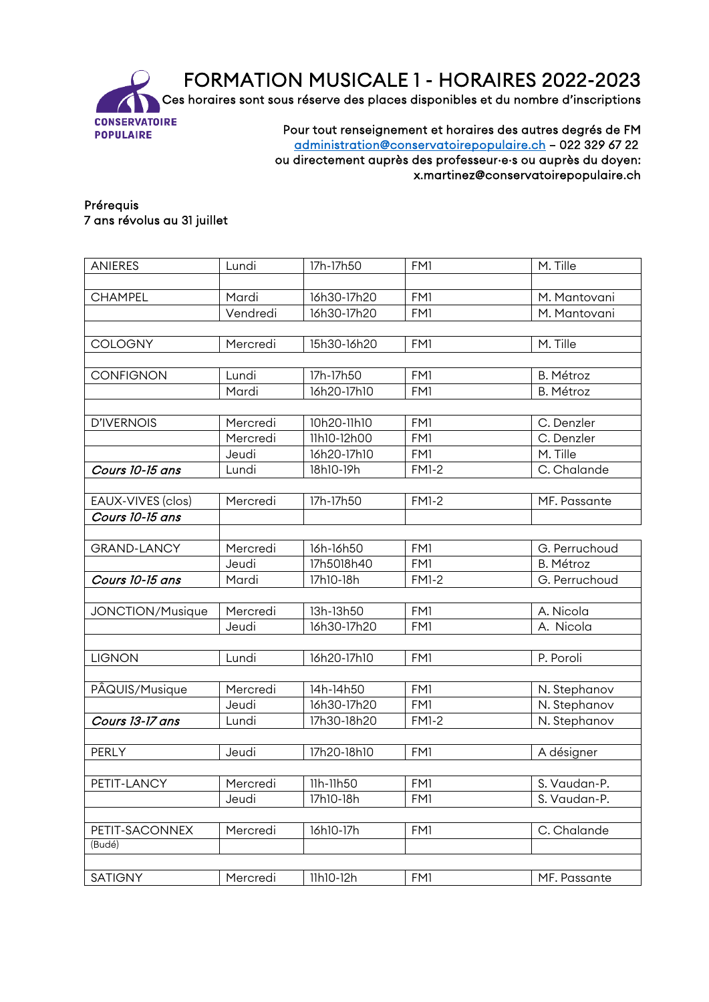FORMATION MUSICALE 1 - HORAIRES 2022-2023 Ces horaires sont sous réserve des places disponibles et du nombre d'inscriptions



Pour tout renseignement et horaires des autres degrés de FM [administration@conservatoirepopulaire.ch](mailto:administration@conservatoirepopulaire.ch) – 022 329 67 22 ou directement auprès des professeur·e·s ou auprès du doyen: x.martinez@conservatoirepopulaire.ch

## Prérequis 7 ans révolus au 31 juillet

| <b>ANIERES</b>     | Lundi    | 17h-17h50   | FM1          | M. Tille         |
|--------------------|----------|-------------|--------------|------------------|
|                    |          |             |              |                  |
| <b>CHAMPEL</b>     | Mardi    | 16h30-17h20 | FM1          | M. Mantovani     |
|                    | Vendredi | 16h30-17h20 | FM1          | M. Mantovani     |
|                    |          |             |              |                  |
| COLOGNY            | Mercredi | 15h30-16h20 | FM1          | M. Tille         |
|                    |          |             |              |                  |
| <b>CONFIGNON</b>   | Lundi    | 17h-17h50   | FM1          | <b>B.</b> Métroz |
|                    | Mardi    | 16h20-17h10 | FM1          | <b>B. Métroz</b> |
|                    |          |             |              |                  |
| <b>D'IVERNOIS</b>  | Mercredi | 10h20-11h10 | FM1          | C. Denzler       |
|                    | Mercredi | 11h10-12h00 | FM1          | C. Denzler       |
|                    | Jeudi    | 16h20-17h10 | FM1          | M. Tille         |
| Cours 10-15 ans    | Lundi    | 18h10-19h   | <b>FM1-2</b> | C. Chalande      |
|                    |          |             |              |                  |
| EAUX-VIVES (clos)  | Mercredi | 17h-17h50   | <b>FM1-2</b> | MF. Passante     |
| Cours 10-15 ans    |          |             |              |                  |
|                    |          |             |              |                  |
| <b>GRAND-LANCY</b> | Mercredi | 16h-16h50   | FM1          | G. Perruchoud    |
|                    | Jeudi    | 17h5018h40  | FM1          | <b>B. Métroz</b> |
| Cours 10-15 ans    | Mardi    | 17h10-18h   | <b>FM1-2</b> | G. Perruchoud    |
|                    |          |             |              |                  |
| JONCTION/Musique   | Mercredi | 13h-13h50   | FM1          | A. Nicola        |
|                    | Jeudi    | 16h30-17h20 | FM1          | A. Nicola        |
|                    |          |             |              |                  |
| <b>LIGNON</b>      | Lundi    | 16h20-17h10 | FM1          | P. Poroli        |
|                    |          |             |              |                  |
| PÂQUIS/Musique     | Mercredi | 14h-14h50   | FM1          | N. Stephanov     |
|                    | Jeudi    | 16h30-17h20 | FM1          | N. Stephanov     |
| Cours 13-17 ans    | Lundi    | 17h30-18h20 | <b>FM1-2</b> | N. Stephanov     |
|                    |          |             |              |                  |
| PERLY              | Jeudi    | 17h20-18h10 | FM1          | A désigner       |
|                    |          |             |              |                  |
| PETIT-LANCY        | Mercredi | 11h-11h50   | FM1          | S. Vaudan-P.     |
|                    | Jeudi    | 17h10-18h   | FM1          | S. Vaudan-P.     |
|                    |          |             |              |                  |
| PETIT-SACONNEX     | Mercredi | 16h10-17h   | FM1          | C. Chalande      |
| (Budé)             |          |             |              |                  |
|                    |          |             |              |                  |
| SATIGNY            | Mercredi | 11h10-12h   | FM1          | MF. Passante     |